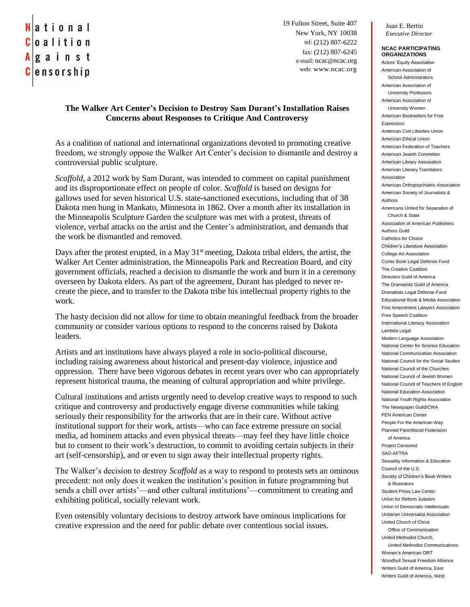## ational Coalition  $A$ |g a i n s t |ensorship

19 Fulton Street, Suite 407 New York, NY 10038 tel: (212) 807-6222 fax: (212) 807-6245 e-mail: ncac@ncac.org web: www.ncac.org

## **The Walker Art Center's Decision to Destroy Sam Durant's Installation Raises Concerns about Responses to Critique And Controversy**

As a coalition of national and international organizations devoted to promoting creative freedom, we strongly oppose the Walker Art Center's decision to dismantle and destroy a controversial public sculpture.

*Scaffold*, a 2012 work by Sam Durant, was intended to comment on capital punishment and its disproportionate effect on people of color. *Scaffold* is based on designs for gallows used for seven historical U.S. state-sanctioned executions, including that of 38 Dakota men hung in Mankato, Minnesota in 1862. Over a month after its installation in the Minneapolis Sculpture Garden the sculpture was met with a protest, threats of violence, verbal attacks on the artist and the Center's administration, and demands that the work be dismantled and removed.

Days after the protest erupted, in a May  $31<sup>st</sup>$  meeting, Dakota tribal elders, the artist, the Walker Art Center administration, the Minneapolis Park and Recreation Board, and city government officials, reached a decision to dismantle the work and burn it in a ceremony overseen by Dakota elders. As part of the agreement, Durant has pledged to never recreate the piece, and to transfer to the Dakota tribe his intellectual property rights to the work.

The hasty decision did not allow for time to obtain meaningful feedback from the broader community or consider various options to respond to the concerns raised by Dakota leaders.

Artists and art institutions have always played a role in socio-political discourse, including raising awareness about historical and present-day violence, injustice and oppression. There have been vigorous debates in recent years over who can appropriately represent historical trauma, the meaning of cultural appropriation and white privilege.

Cultural institutions and artists urgently need to develop creative ways to respond to such critique and controversy and productively engage diverse communities while taking seriously their responsibility for the artworks that are in their care. Without active institutional support for their work, artists—who can face extreme pressure on social media, ad hominem attacks and even physical threats—may feel they have little choice but to consent to their work's destruction, to commit to avoiding certain subjects in their art (self-censorship), and or even to sign away their intellectual property rights.

The Walker's decision to destroy *Scaffold* as a way to respond to protests sets an ominous precedent: not only does it weaken the institution's position in future programming but sends a chill over artists'—and other cultural institutions'—commitment to creating and exhibiting political, socially relevant work.

Even ostensibly voluntary decisions to destroy artwork have ominous implications for creative expression and the need for public debate over contentious social issues.

Joan E. Bertin *Executive Director*

## **NCAC PARTICIPATING ORGANIZATIONS**

Actors' Equity Association American Association of School Administrators American Association of University Professors American Association of University Women American Booksellers for Free Expression American Civil Liberties Union American Ethical Union American Federation of Teachers American Jewish Committee American Library Association American Literary Translators Association American Orthopsychiatric Association American Society of Journalists & Authors Americans United for Separation of Church & State Association of American Publishers Authors Guild Catholics for Choice Children's Literature Association College Art Association Comic Book Legal Defense Fund The Creative Coalition Directors Guild of America The Dramatists Guild of America Dramatists Legal Defense Fund Educational Book & Media Association First Amendment Lawyers Association Free Speech Coalition International Literacy Association Lambda Legal Modern Language Association National Center for Science Education National Communication Association National Council for the Social Studies National Council of the Churches National Council of Jewish Women National Council of Teachers of English National Education Association National Youth Rights Association The Newspaper Guild/CWA PEN American Center People For the American Way Planned Parenthood Federation of America Project Censored SAG-AFTRA Sexuality Information & Education Council of the U.S. Society of Children's Book Writers & Illustrators Student Press Law Center Union for Reform Judaism Union of Democratic Intellectuals Unitarian Universalist Association United Church of Christ Office of Communication United Methodist Church, United Methodist Communications Women's American ORT Woodhull Sexual Freedom Alliance Writers Guild of America, East Writers Guild of America, West